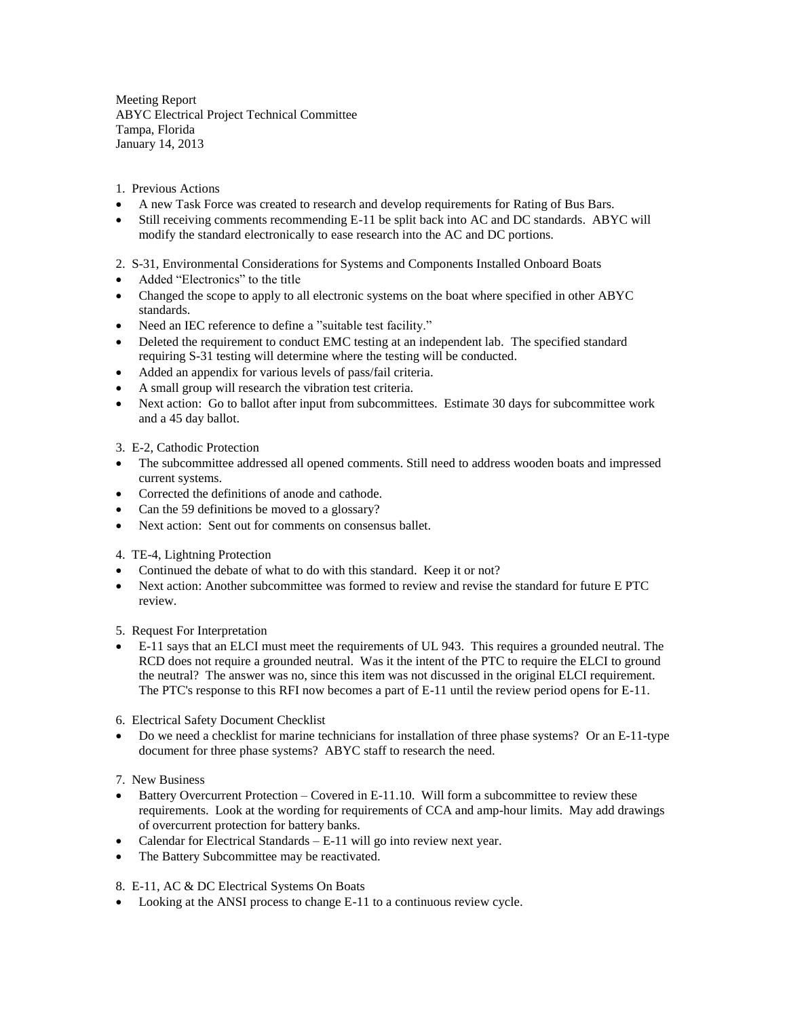Meeting Report ABYC Electrical Project Technical Committee Tampa, Florida January 14, 2013

1. Previous Actions

- A new Task Force was created to research and develop requirements for Rating of Bus Bars.
- Still receiving comments recommending E-11 be split back into AC and DC standards. ABYC will modify the standard electronically to ease research into the AC and DC portions.

## 2. S-31, Environmental Considerations for Systems and Components Installed Onboard Boats

- Added "Electronics" to the title
- Changed the scope to apply to all electronic systems on the boat where specified in other ABYC standards.
- Need an IEC reference to define a "suitable test facility."
- Deleted the requirement to conduct EMC testing at an independent lab. The specified standard requiring S-31 testing will determine where the testing will be conducted.
- Added an appendix for various levels of pass/fail criteria.
- A small group will research the vibration test criteria.
- Next action: Go to ballot after input from subcommittees. Estimate 30 days for subcommittee work and a 45 day ballot.

3. E-2, Cathodic Protection

- The subcommittee addressed all opened comments. Still need to address wooden boats and impressed current systems.
- Corrected the definitions of anode and cathode.
- Can the 59 definitions be moved to a glossary?
- Next action: Sent out for comments on consensus ballet.

4. TE-4, Lightning Protection

- Continued the debate of what to do with this standard. Keep it or not?
- Next action: Another subcommittee was formed to review and revise the standard for future E PTC review.
- 5. Request For Interpretation
- E-11 says that an ELCI must meet the requirements of UL 943. This requires a grounded neutral. The RCD does not require a grounded neutral. Was it the intent of the PTC to require the ELCI to ground the neutral? The answer was no, since this item was not discussed in the original ELCI requirement. The PTC's response to this RFI now becomes a part of E-11 until the review period opens for E-11.

6. Electrical Safety Document Checklist

- Do we need a checklist for marine technicians for installation of three phase systems? Or an E-11-type document for three phase systems? ABYC staff to research the need.
- 7. New Business
- Battery Overcurrent Protection Covered in E-11.10. Will form a subcommittee to review these requirements. Look at the wording for requirements of CCA and amp-hour limits. May add drawings of overcurrent protection for battery banks.
- Calendar for Electrical Standards E-11 will go into review next year.
- The Battery Subcommittee may be reactivated.

8. E-11, AC & DC Electrical Systems On Boats

• Looking at the ANSI process to change E-11 to a continuous review cycle.